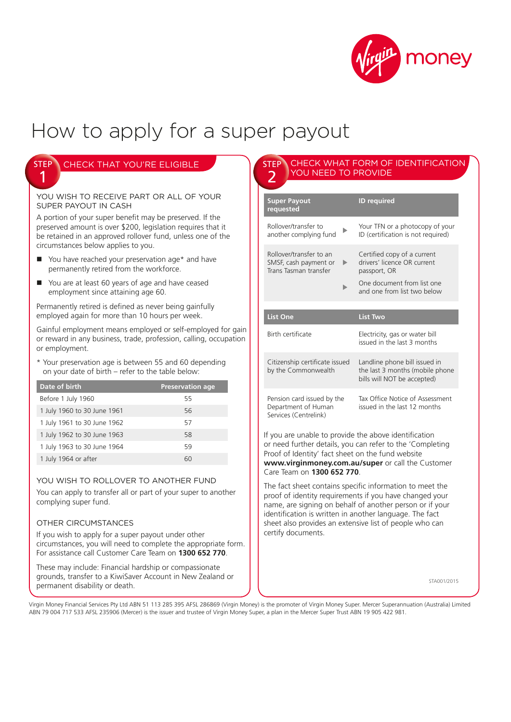

# How to apply for a super payout

| <b>STEP \ CHECK THAT YOU'RE ELIGIBLE</b> |
|------------------------------------------|
|                                          |

YOU WISH TO RECEIVE PART OR ALL OF YOUR SUPER PAYOUT IN CASH

A portion of your super benefit may be preserved. If the preserved amount is over \$200, legislation requires that it be retained in an approved rollover fund, unless one of the circumstances below applies to you.

- You have reached your preservation age\* and have permanently retired from the workforce.
- You are at least 60 years of age and have ceased employment since attaining age 60.

Permanently retired is defined as never being gainfully employed again for more than 10 hours per week.

Gainful employment means employed or self-employed for gain or reward in any business, trade, profession, calling, occupation or employment.

\* Your preservation age is between 55 and 60 depending on your date of birth – refer to the table below:

| Date of birth               | <b>Preservation age</b> |
|-----------------------------|-------------------------|
| Before 1 July 1960          | 55                      |
| 1 July 1960 to 30 June 1961 | 56                      |
| 1 July 1961 to 30 June 1962 | 57                      |
| 1 July 1962 to 30 June 1963 | 58                      |
| 1 July 1963 to 30 June 1964 | 59                      |
| 1 July 1964 or after        | 60                      |

### YOU WISH TO ROLLOVER TO ANOTHER FUND

You can apply to transfer all or part of your super to another complying super fund.

## OTHER CIRCUMSTANCES

If you wish to apply for a super payout under other circumstances, you will need to complete the appropriate form. For assistance call Customer Care Team on **1300 652 770**.

These may include: Financial hardship or compassionate grounds, transfer to a KiwiSaver Account in New Zealand or permanent disability or death.

#### CHECK WHAT FORM OF IDENTIFICATION YOU NEED TO PROVIDE STEP 2

| <b>Super Payout</b><br>requested                                               |   | <b>ID</b> required                                                                                                                                                                                                                                                                                    |
|--------------------------------------------------------------------------------|---|-------------------------------------------------------------------------------------------------------------------------------------------------------------------------------------------------------------------------------------------------------------------------------------------------------|
| Rollover/transfer to<br>another complying fund                                 |   | Your TFN or a photocopy of your<br>ID (certification is not required)                                                                                                                                                                                                                                 |
| Rollover/transfer to an<br>SMSF, cash payment or<br>Trans Tasman transfer      | ▶ | Certified copy of a current<br>drivers' licence OR current<br>passport, OR<br>One document from list one<br>and one from list two below                                                                                                                                                               |
| <b>List One</b>                                                                |   | <b>List Two</b>                                                                                                                                                                                                                                                                                       |
| Birth certificate                                                              |   | Electricity, gas or water bill<br>issued in the last 3 months                                                                                                                                                                                                                                         |
| Citizenship certificate issued<br>by the Commonwealth                          |   | Landline phone bill issued in<br>the last 3 months (mobile phone<br>bills will NOT be accepted)                                                                                                                                                                                                       |
| Pension card issued by the<br>Department of Human<br>Services (Centrelink)     |   | Tax Office Notice of Assessment<br>issued in the last 12 months                                                                                                                                                                                                                                       |
| Proof of Identity' fact sheet on the fund website<br>Care Team on 1300 652 770 |   | If you are unable to provide the above identification<br>or need further details, you can refer to the 'Completing<br>www.virginmoney.com.au/super or call the Customer                                                                                                                               |
|                                                                                |   | The fact sheet contains specific information to meet the<br>proof of identity requirements if you have changed your<br>name, are signing on behalf of another person or if your<br>identification is written in another language. The fact<br>sheet also provides an extensive list of people who can |

STA001/2015

Virgin Money Financial Services Pty Ltd ABN 51 113 285 395 AFSL 286869 (Virgin Money) is the promoter of Virgin Money Super. Mercer Superannuation (Australia) Limited ABN 79 004 717 533 AFSL 235906 (Mercer) is the issuer and trustee of Virgin Money Super, a plan in the Mercer Super Trust ABN 19 905 422 981.

certify documents.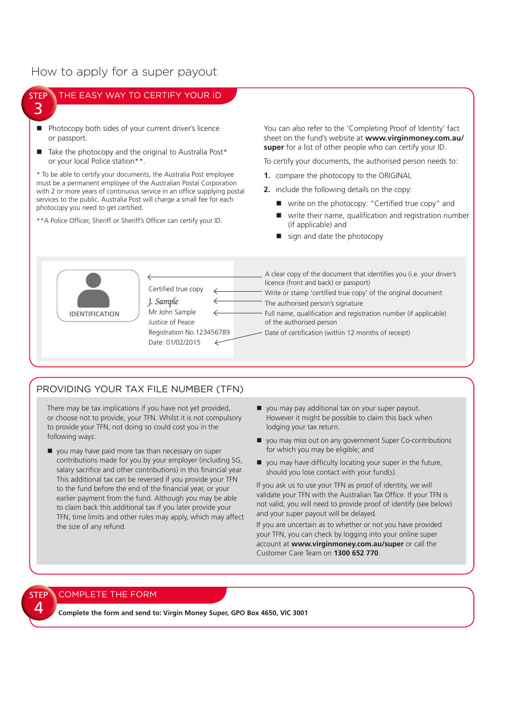# How to apply for a super payout

#### THE EASY WAY TO CERTIFY YOUR ID STEP 3 ■ Photocopy both sides of your current driver's licence You can also refer to the 'Completing Proof of Identity' fact sheet on the fund's website at **www.virginmoney.com.au/** or passport. **super** for a list of other people who can certify your ID.  $\blacksquare$  Take the photocopy and the original to Australia Post\* or your local Police station\*\*. To certify your documents, the authorised person needs to: \* To be able to certify your documents, the Australia Post employee **1.** compare the photocopy to the ORIGINAL must be a permanent employee of the Australian Postal Corporation **2.** include the following details on the copy: with 2 or more years of continuous service in an office supplying postal services to the public. Australia Post will charge a small fee for each ■ write on the photocopy: "Certified true copy" and photocopy you need to get certified. write their name, qualification and registration number \*\*A Police Officer, Sheriff or Sheriff's Officer can certify your ID. (if applicable) and  $\blacksquare$  sign and date the photocopy A clear copy of the document that identifies you (i.e. your driver's licence (front and back) or passport) Certified true copy Write or stamp 'certified true copy' of the original document J. Sample  $\leftarrow$ The authorised person's signature

Full name, qualification and registration number (if applicable) of the authorised person

- Date of certification (within 12 months of receipt)

# PROVIDING YOUR TAX FILE NUMBER (TFN)

Mr John Sample Justice of Peace

Date: 01/02/2015

Registration No.123456789

**IDENTIFICATION** 

There may be tax implications if you have not yet provided, or choose not to provide, your TFN. Whilst it is not compulsory to provide your TFN, not doing so could cost you in the following ways:

- vou may have paid more tax than necessary on super contributions made for you by your employer (including SG, salary sacrifice and other contributions) in this financial year. This additional tax can be reversed if you provide your TFN to the fund before the end of the financial year, or your earlier payment from the fund. Although you may be able to claim back this additional tax if you later provide your TFN, time limits and other rules may apply, which may affect the size of any refund.
- you may pay additional tax on your super payout. However it might be possible to claim this back when lodging your tax return.
- vou may miss out on any government Super Co-contributions for which you may be eligible; and
- $\blacksquare$  you may have difficulty locating your super in the future, should you lose contact with your fund(s).

If you ask us to use your TFN as proof of identity, we will validate your TFN with the Australian Tax Office. If your TFN is not valid, you will need to provide proof of identify (see below) and your super payout will be delayed.

If you are uncertain as to whether or not you have provided your TFN, you can check by logging into your online super account at **www.virginmoney.com.au/super** or call the Customer Care Team on **1300 652 770**.

## COMPLETE THE FORM

STEP 4

**Complete the form and send to: Virgin Money Super, GPO Box 4650, VIC 3001**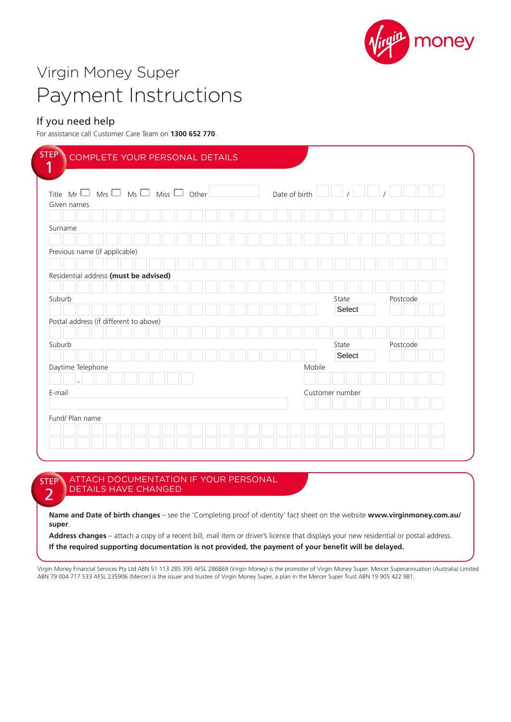

# Virgin Money Super Payment Instructions

# If you need help

For assistance call Customer Care Team on **1300 652 770**.

| Title $Mr \t\Box$ Mrs $\Box$ Ms $\Box$ Miss $\Box$ Other |  |  |  |  | Date of birth |        |                 |       |        |  |          |  |
|----------------------------------------------------------|--|--|--|--|---------------|--------|-----------------|-------|--------|--|----------|--|
| Given names                                              |  |  |  |  |               |        |                 |       |        |  |          |  |
|                                                          |  |  |  |  |               |        |                 |       |        |  |          |  |
| Surname                                                  |  |  |  |  |               |        |                 |       |        |  |          |  |
| Previous name (if applicable)                            |  |  |  |  |               |        |                 |       |        |  |          |  |
|                                                          |  |  |  |  |               |        |                 |       |        |  |          |  |
| Residential address (must be advised)                    |  |  |  |  |               |        |                 |       |        |  |          |  |
|                                                          |  |  |  |  |               |        |                 |       |        |  |          |  |
| Suburb                                                   |  |  |  |  |               |        |                 | State |        |  | Postcode |  |
|                                                          |  |  |  |  |               |        |                 |       | Select |  |          |  |
| Postal address (if different to above)                   |  |  |  |  |               |        |                 |       |        |  |          |  |
|                                                          |  |  |  |  |               |        |                 |       |        |  |          |  |
| Suburb                                                   |  |  |  |  |               |        |                 | State |        |  | Postcode |  |
|                                                          |  |  |  |  |               |        |                 |       | Select |  |          |  |
| Daytime Telephone                                        |  |  |  |  |               | Mobile |                 |       |        |  |          |  |
|                                                          |  |  |  |  |               |        |                 |       |        |  |          |  |
| E-mail                                                   |  |  |  |  |               |        | Customer number |       |        |  |          |  |
|                                                          |  |  |  |  |               |        |                 |       |        |  |          |  |

STEP  $\overline{\phantom{a}}$ ATTACH DOCUMENTATION IF YOUR PERSONAL DETAILS HAVE CHANGED

**Name and Date of birth changes** – see the 'Completing proof of identity' fact sheet on the website **www.virginmoney.com.au/ super**.

Address changes - attach a copy of a recent bill, mail item or driver's licence that displays your new residential or postal address. **If the required supporting documentation is not provided, the payment of your benefit will be delayed.**

Virgin Money Financial Services Pty Ltd ABN 51 113 285 395 AFSL 286869 (Virgin Money) is the promoter of Virgin Money Super. Mercer Superannuation (Australia) Limited ABN 79 004 717 533 AFSL 235906 (Mercer) is the issuer and trustee of Virgin Money Super, a plan in the Mercer Super Trust ABN 19 905 422 981.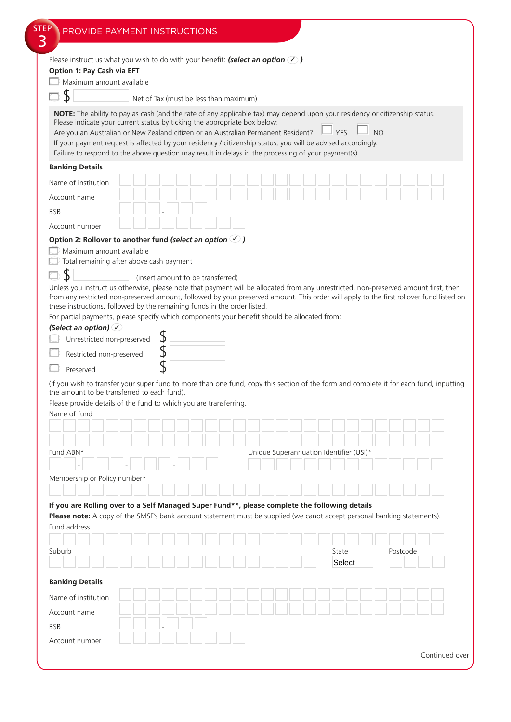| Please instruct us what you wish to do with your benefit: (select an option $\bigcirc$ )                                                                                                                                                                                                                                                                                                                                                                                                                                                                                                                                                                                                      |                                        |    |  |  |                                         |  |  |             |  |     |          |  |  |
|-----------------------------------------------------------------------------------------------------------------------------------------------------------------------------------------------------------------------------------------------------------------------------------------------------------------------------------------------------------------------------------------------------------------------------------------------------------------------------------------------------------------------------------------------------------------------------------------------------------------------------------------------------------------------------------------------|----------------------------------------|----|--|--|-----------------------------------------|--|--|-------------|--|-----|----------|--|--|
| Option 1: Pay Cash via EFT<br>Maximum amount available                                                                                                                                                                                                                                                                                                                                                                                                                                                                                                                                                                                                                                        |                                        |    |  |  |                                         |  |  |             |  |     |          |  |  |
|                                                                                                                                                                                                                                                                                                                                                                                                                                                                                                                                                                                                                                                                                               |                                        |    |  |  |                                         |  |  |             |  |     |          |  |  |
|                                                                                                                                                                                                                                                                                                                                                                                                                                                                                                                                                                                                                                                                                               | Net of Tax (must be less than maximum) |    |  |  |                                         |  |  |             |  |     |          |  |  |
| NOTE: The ability to pay as cash (and the rate of any applicable tax) may depend upon your residency or citizenship status.<br>Please indicate your current status by ticking the appropriate box below:<br>Are you an Australian or New Zealand citizen or an Australian Permanent Resident?<br>If your payment request is affected by your residency / citizenship status, you will be advised accordingly.<br>Failure to respond to the above question may result in delays in the processing of your payment(s).                                                                                                                                                                          |                                        |    |  |  |                                         |  |  | $\perp$ YES |  | N() |          |  |  |
| <b>Banking Details</b>                                                                                                                                                                                                                                                                                                                                                                                                                                                                                                                                                                                                                                                                        |                                        |    |  |  |                                         |  |  |             |  |     |          |  |  |
| Name of institution                                                                                                                                                                                                                                                                                                                                                                                                                                                                                                                                                                                                                                                                           |                                        |    |  |  |                                         |  |  |             |  |     |          |  |  |
| Account name                                                                                                                                                                                                                                                                                                                                                                                                                                                                                                                                                                                                                                                                                  |                                        |    |  |  |                                         |  |  |             |  |     |          |  |  |
| <b>BSB</b>                                                                                                                                                                                                                                                                                                                                                                                                                                                                                                                                                                                                                                                                                    |                                        |    |  |  |                                         |  |  |             |  |     |          |  |  |
|                                                                                                                                                                                                                                                                                                                                                                                                                                                                                                                                                                                                                                                                                               |                                        |    |  |  |                                         |  |  |             |  |     |          |  |  |
| Account number<br>Option 2: Rollover to another fund (select an option $\bigcirc$ )                                                                                                                                                                                                                                                                                                                                                                                                                                                                                                                                                                                                           |                                        |    |  |  |                                         |  |  |             |  |     |          |  |  |
| Maximum amount available<br>Total remaining after above cash payment<br>Unless you instruct us otherwise, please note that payment will be allocated from any unrestricted, non-preserved amount first, then                                                                                                                                                                                                                                                                                                                                                                                                                                                                                  | (insert amount to be transferred)      |    |  |  |                                         |  |  |             |  |     |          |  |  |
| from any restricted non-preserved amount, followed by your preserved amount. This order will apply to the first rollover fund listed on<br>these instructions, followed by the remaining funds in the order listed.                                                                                                                                                                                                                                                                                                                                                                                                                                                                           |                                        |    |  |  |                                         |  |  |             |  |     |          |  |  |
| For partial payments, please specify which components your benefit should be allocated from:                                                                                                                                                                                                                                                                                                                                                                                                                                                                                                                                                                                                  |                                        |    |  |  |                                         |  |  |             |  |     |          |  |  |
|                                                                                                                                                                                                                                                                                                                                                                                                                                                                                                                                                                                                                                                                                               |                                        |    |  |  |                                         |  |  |             |  |     |          |  |  |
|                                                                                                                                                                                                                                                                                                                                                                                                                                                                                                                                                                                                                                                                                               |                                        |    |  |  |                                         |  |  |             |  |     |          |  |  |
| Unrestricted non-preserved                                                                                                                                                                                                                                                                                                                                                                                                                                                                                                                                                                                                                                                                    |                                        | \$ |  |  |                                         |  |  |             |  |     |          |  |  |
| Restricted non-preserved                                                                                                                                                                                                                                                                                                                                                                                                                                                                                                                                                                                                                                                                      |                                        | \$ |  |  |                                         |  |  |             |  |     |          |  |  |
| Preserved                                                                                                                                                                                                                                                                                                                                                                                                                                                                                                                                                                                                                                                                                     |                                        | \$ |  |  |                                         |  |  |             |  |     |          |  |  |
|                                                                                                                                                                                                                                                                                                                                                                                                                                                                                                                                                                                                                                                                                               |                                        |    |  |  |                                         |  |  |             |  |     |          |  |  |
|                                                                                                                                                                                                                                                                                                                                                                                                                                                                                                                                                                                                                                                                                               |                                        |    |  |  |                                         |  |  |             |  |     |          |  |  |
|                                                                                                                                                                                                                                                                                                                                                                                                                                                                                                                                                                                                                                                                                               |                                        |    |  |  |                                         |  |  |             |  |     |          |  |  |
|                                                                                                                                                                                                                                                                                                                                                                                                                                                                                                                                                                                                                                                                                               |                                        |    |  |  |                                         |  |  |             |  |     |          |  |  |
|                                                                                                                                                                                                                                                                                                                                                                                                                                                                                                                                                                                                                                                                                               |                                        |    |  |  |                                         |  |  |             |  |     |          |  |  |
|                                                                                                                                                                                                                                                                                                                                                                                                                                                                                                                                                                                                                                                                                               |                                        |    |  |  | Unique Superannuation Identifier (USI)* |  |  |             |  |     |          |  |  |
|                                                                                                                                                                                                                                                                                                                                                                                                                                                                                                                                                                                                                                                                                               |                                        |    |  |  |                                         |  |  |             |  |     |          |  |  |
|                                                                                                                                                                                                                                                                                                                                                                                                                                                                                                                                                                                                                                                                                               |                                        |    |  |  |                                         |  |  |             |  |     |          |  |  |
|                                                                                                                                                                                                                                                                                                                                                                                                                                                                                                                                                                                                                                                                                               |                                        |    |  |  |                                         |  |  |             |  |     |          |  |  |
|                                                                                                                                                                                                                                                                                                                                                                                                                                                                                                                                                                                                                                                                                               |                                        |    |  |  |                                         |  |  |             |  |     |          |  |  |
|                                                                                                                                                                                                                                                                                                                                                                                                                                                                                                                                                                                                                                                                                               |                                        |    |  |  |                                         |  |  |             |  |     |          |  |  |
|                                                                                                                                                                                                                                                                                                                                                                                                                                                                                                                                                                                                                                                                                               |                                        |    |  |  |                                         |  |  |             |  |     |          |  |  |
|                                                                                                                                                                                                                                                                                                                                                                                                                                                                                                                                                                                                                                                                                               |                                        |    |  |  |                                         |  |  | State       |  |     | Postcode |  |  |
|                                                                                                                                                                                                                                                                                                                                                                                                                                                                                                                                                                                                                                                                                               |                                        |    |  |  |                                         |  |  | Select      |  |     |          |  |  |
|                                                                                                                                                                                                                                                                                                                                                                                                                                                                                                                                                                                                                                                                                               |                                        |    |  |  |                                         |  |  |             |  |     |          |  |  |
|                                                                                                                                                                                                                                                                                                                                                                                                                                                                                                                                                                                                                                                                                               |                                        |    |  |  |                                         |  |  |             |  |     |          |  |  |
|                                                                                                                                                                                                                                                                                                                                                                                                                                                                                                                                                                                                                                                                                               |                                        |    |  |  |                                         |  |  |             |  |     |          |  |  |
| (Select an option) $\oslash$<br>(If you wish to transfer your super fund to more than one fund, copy this section of the form and complete it for each fund, inputting<br>the amount to be transferred to each fund).<br>Please provide details of the fund to which you are transferring.<br>Name of fund<br>Fund ABN*<br>Membership or Policy number*<br>If you are Rolling over to a Self Managed Super Fund**, please complete the following details<br>Please note: A copy of the SMSF's bank account statement must be supplied (we canot accept personal banking statements).<br>Fund address<br>Suburb<br><b>Banking Details</b><br>Name of institution<br>Account name<br><b>BSB</b> |                                        |    |  |  |                                         |  |  |             |  |     |          |  |  |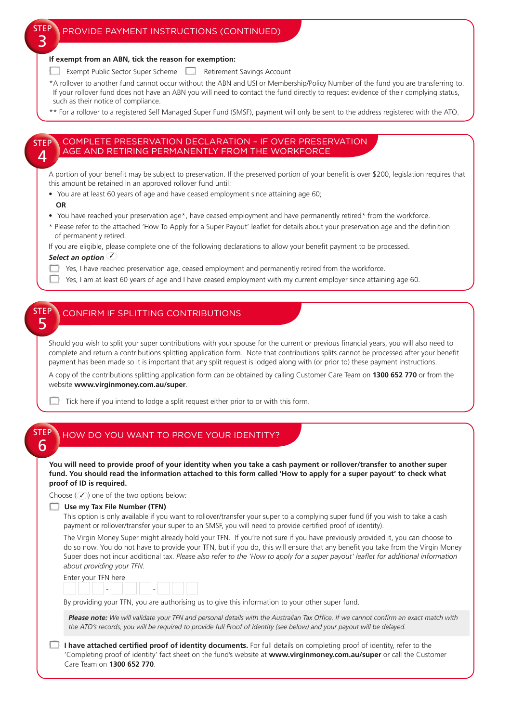#### **If exempt from an ABN, tick the reason for exemption:**

- Exempt Public Sector Super Scheme **Retirement Savings Account**
- \*A rollover to another fund cannot occur without the ABN and USI or Membership/Policy Number of the fund you are transferring to. If your rollover fund does not have an ABN you will need to contact the fund directly to request evidence of their complying status, such as their notice of compliance.
- \*\* For a rollover to a registered Self Managed Super Fund (SMSF), payment will only be sent to the address registered with the ATO.

STEP  $\Delta$ 

5

STEP २

## COMPLETE PRESERVATION DECLARATION – IF OVER PRESERVATION AGE AND RETIRING PERMANENTLY FROM THE WORKFORCE

A portion of your benefit may be subject to preservation. If the preserved portion of your benefit is over \$200, legislation requires that this amount be retained in an approved rollover fund until:

- You are at least 60 years of age and have ceased employment since attaining age 60;
- **OR**
- You have reached your preservation age\*, have ceased employment and have permanently retired\* from the workforce.
- \* Please refer to the attached 'How To Apply for a Super Payout' leaflet for details about your preservation age and the definition of permanently retired.

If you are eligible, please complete one of the following declarations to allow your benefit payment to be processed.

*Select an option* ✓

- $\Box$ Yes, I have reached preservation age, ceased employment and permanently retired from the workforce.
- $\Box$ Yes, I am at least 60 years of age and I have ceased employment with my current employer since attaining age 60.

#### **STEF** CONFIRM IF SPLITTING CONTRIBUTIONS

Should you wish to split your super contributions with your spouse for the current or previous financial years, you will also need to complete and return a contributions splitting application form. Note that contributions splits cannot be processed after your benefit payment has been made so it is important that any split request is lodged along with (or prior to) these payment instructions.

A copy of the contributions splitting application form can be obtained by calling Customer Care Team on **1300 652 770** or from the website **www.virginmoney.com.au/super**.



#### STEP 6 HOW DO YOU WANT TO PROVE YOUR IDENTITY?

### **You will need to provide proof of your identity when you take a cash payment or rollover/transfer to another super fund. You should read the information attached to this form called 'How to apply for a super payout' to check what proof of ID is required.**

Choose  $(\sqrt{\ }$ ) one of the two options below:

#### **Use my Tax File Number (TFN)**

This option is only available if you want to rollover/transfer your super to a complying super fund (if you wish to take a cash payment or rollover/transfer your super to an SMSF, you will need to provide certified proof of identity).

The Virgin Money Super might already hold your TFN. If you're not sure if you have previously provided it, you can choose to do so now. You do not have to provide your TFN, but if you do, this will ensure that any benefit you take from the Virgin Money Super does not incur additional tax. *Please also refer to the 'How to apply for a super payout' leaflet for additional information about providing your TFN.*

| Enter your TFN here |  |  |
|---------------------|--|--|
|---------------------|--|--|

|  |  | the contract of the contract of the contract of |  |
|--|--|-------------------------------------------------|--|
|  |  |                                                 |  |

By providing your TFN, you are authorising us to give this information to your other super fund.

*Please note: We will validate your TFN and personal details with the Australian Tax Office. If we cannot confirm an exact match with the ATO's records, you will be required to provide full Proof of Identity (see below) and your payout will be delayed.*

#### **I have attached certified proof of identity documents.** For full details on completing proof of identity, refer to the 'Completing proof of identity' fact sheet on the fund's website at **www.virginmoney.com.au/super** or call the Customer Care Team on **1300 652 770**.